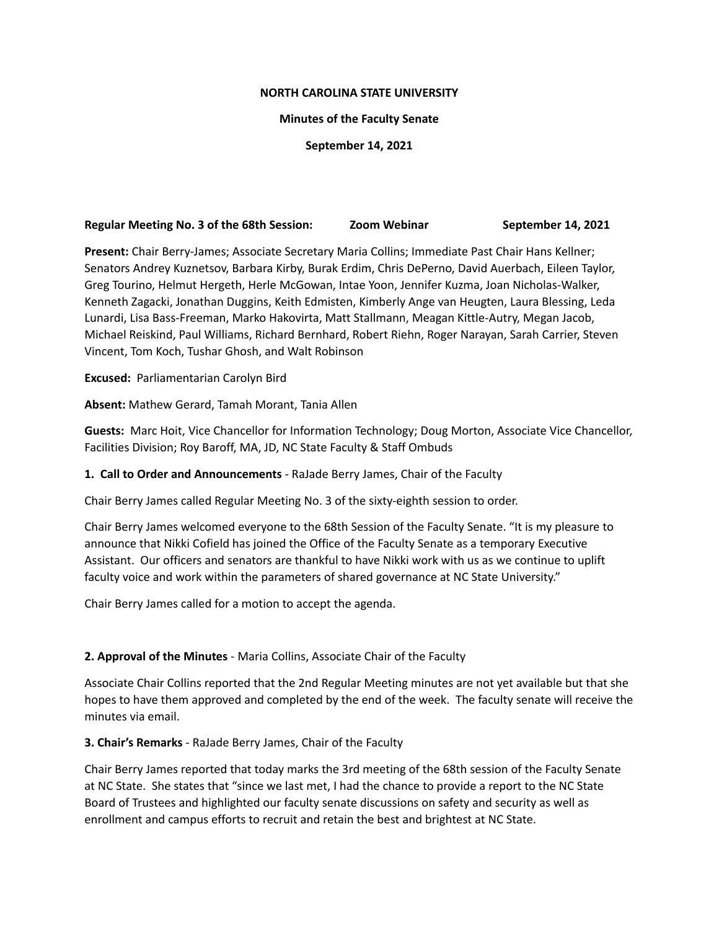#### **NORTH CAROLINA STATE UNIVERSITY**

#### **Minutes of the Faculty Senate**

#### **September 14, 2021**

## **Regular Meeting No. 3 of the 68th Session: Zoom Webinar September 14, 2021**

**Present:** Chair Berry-James; Associate Secretary Maria Collins; Immediate Past Chair Hans Kellner; Senators Andrey Kuznetsov, Barbara Kirby, Burak Erdim, Chris DePerno, David Auerbach, Eileen Taylor, Greg Tourino, Helmut Hergeth, Herle McGowan, Intae Yoon, Jennifer Kuzma, Joan Nicholas-Walker, Kenneth Zagacki, Jonathan Duggins, Keith Edmisten, Kimberly Ange van Heugten, Laura Blessing, Leda Lunardi, Lisa Bass-Freeman, Marko Hakovirta, Matt Stallmann, Meagan Kittle-Autry, Megan Jacob, Michael Reiskind, Paul Williams, Richard Bernhard, Robert Riehn, Roger Narayan, Sarah Carrier, Steven Vincent, Tom Koch, Tushar Ghosh, and Walt Robinson

**Excused:** Parliamentarian Carolyn Bird

**Absent:** Mathew Gerard, Tamah Morant, Tania Allen

**Guests:** Marc Hoit, Vice Chancellor for Information Technology; Doug Morton, Associate Vice Chancellor, Facilities Division; Roy Baroff, MA, JD, NC State Faculty & Staff Ombuds

**1. Call to Order and Announcements** - RaJade Berry James, Chair of the Faculty

Chair Berry James called Regular Meeting No. 3 of the sixty-eighth session to order.

Chair Berry James welcomed everyone to the 68th Session of the Faculty Senate. "It is my pleasure to announce that Nikki Cofield has joined the Office of the Faculty Senate as a temporary Executive Assistant. Our officers and senators are thankful to have Nikki work with us as we continue to uplift faculty voice and work within the parameters of shared governance at NC State University."

Chair Berry James called for a motion to accept the agenda.

## **2. Approval of the Minutes** - Maria Collins, Associate Chair of the Faculty

Associate Chair Collins reported that the 2nd Regular Meeting minutes are not yet available but that she hopes to have them approved and completed by the end of the week. The faculty senate will receive the minutes via email.

## **3. Chair's Remarks** - RaJade Berry James, Chair of the Faculty

Chair Berry James reported that today marks the 3rd meeting of the 68th session of the Faculty Senate at NC State. She states that "since we last met, I had the chance to provide a report to the NC State Board of Trustees and highlighted our faculty senate discussions on safety and security as well as enrollment and campus efforts to recruit and retain the best and brightest at NC State.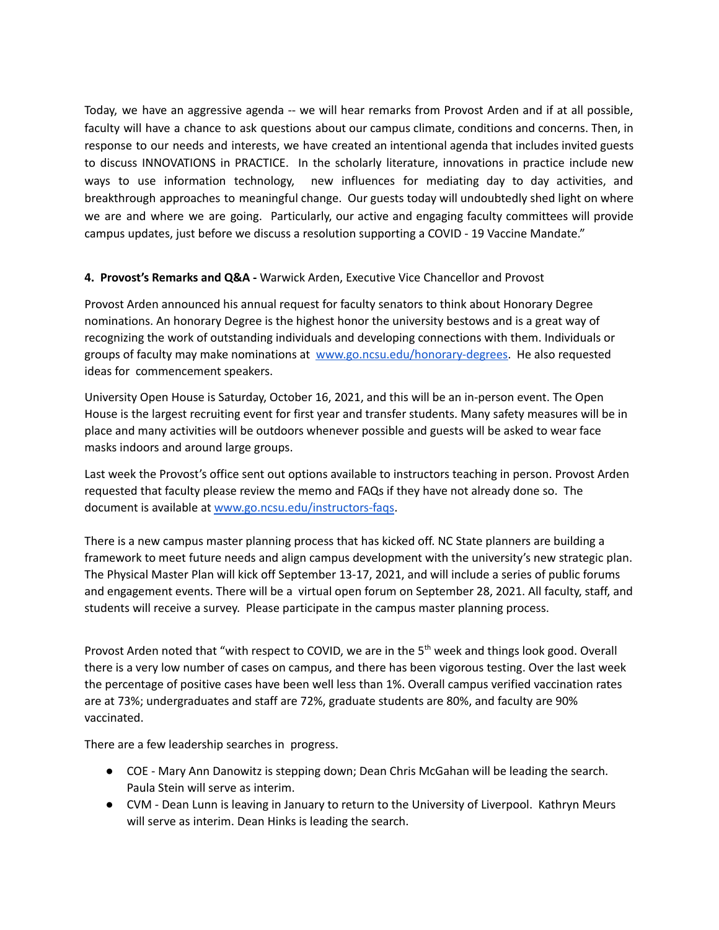Today, we have an aggressive agenda -- we will hear remarks from Provost Arden and if at all possible, faculty will have a chance to ask questions about our campus climate, conditions and concerns. Then, in response to our needs and interests, we have created an intentional agenda that includes invited guests to discuss INNOVATIONS in PRACTICE. In the scholarly literature, innovations in practice include new ways to use information technology, new influences for mediating day to day activities, and breakthrough approaches to meaningful change. Our guests today will undoubtedly shed light on where we are and where we are going. Particularly, our active and engaging faculty committees will provide campus updates, just before we discuss a resolution supporting a COVID - 19 Vaccine Mandate."

## **4. Provost's Remarks and Q&A -** Warwick Arden, Executive Vice Chancellor and Provost

Provost Arden announced his annual request for faculty senators to think about Honorary Degree nominations. An honorary Degree is the highest honor the university bestows and is a great way of recognizing the work of outstanding individuals and developing connections with them. Individuals or groups of faculty may make nominations at [www.go.ncsu.edu/honorary-degrees.](http://www.go.ncsu.edu/honorary-degrees) He also requested ideas for commencement speakers.

University Open House is Saturday, October 16, 2021, and this will be an in-person event. The Open House is the largest recruiting event for first year and transfer students. Many safety measures will be in place and many activities will be outdoors whenever possible and guests will be asked to wear face masks indoors and around large groups.

Last week the Provost's office sent out options available to instructors teaching in person. Provost Arden requested that faculty please review the memo and FAQs if they have not already done so. The document is available at [www.go.ncsu.edu/instructors-faqs.](http://www.go.ncsu.edu/instructors-faqs)

There is a new campus master planning process that has kicked off. NC State planners are building a framework to meet future needs and align campus development with the university's new strategic plan. The Physical Master Plan will kick off September 13-17, 2021, and will include a series of public forums and engagement events. There will be a virtual open forum on September 28, 2021. All faculty, staff, and students will receive a survey. Please participate in the campus master planning process.

Provost Arden noted that "with respect to COVID, we are in the 5<sup>th</sup> week and things look good. Overall there is a very low number of cases on campus, and there has been vigorous testing. Over the last week the percentage of positive cases have been well less than 1%. Overall campus verified vaccination rates are at 73%; undergraduates and staff are 72%, graduate students are 80%, and faculty are 90% vaccinated.

There are a few leadership searches in progress.

- COE Mary Ann Danowitz is stepping down; Dean Chris McGahan will be leading the search. Paula Stein will serve as interim.
- CVM Dean Lunn is leaving in January to return to the University of Liverpool. Kathryn Meurs will serve as interim. Dean Hinks is leading the search.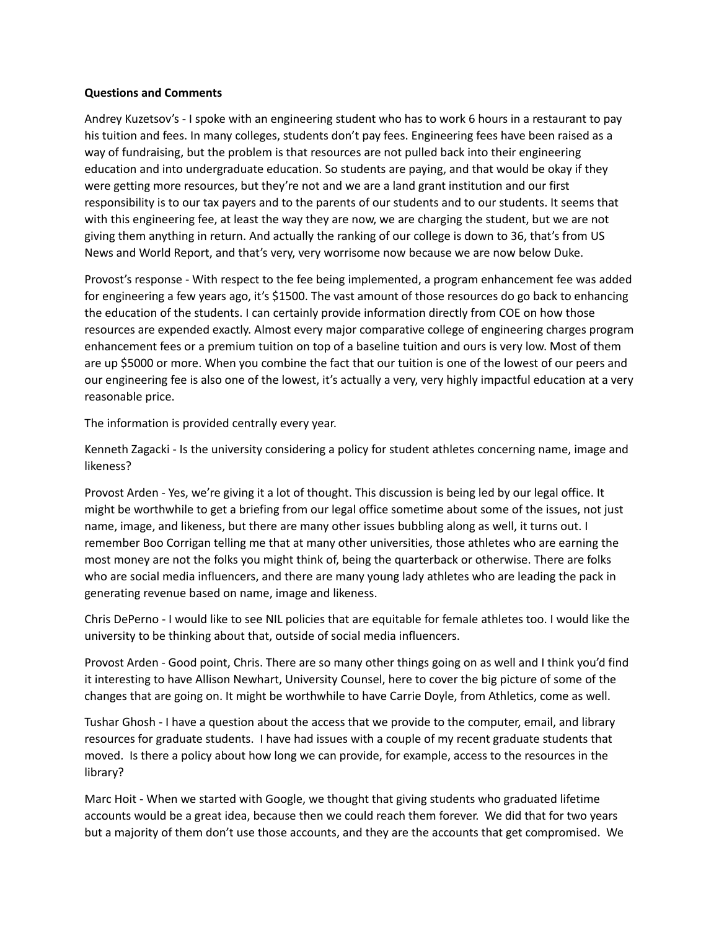#### **Questions and Comments**

Andrey Kuzetsov's - I spoke with an engineering student who has to work 6 hours in a restaurant to pay his tuition and fees. In many colleges, students don't pay fees. Engineering fees have been raised as a way of fundraising, but the problem is that resources are not pulled back into their engineering education and into undergraduate education. So students are paying, and that would be okay if they were getting more resources, but they're not and we are a land grant institution and our first responsibility is to our tax payers and to the parents of our students and to our students. It seems that with this engineering fee, at least the way they are now, we are charging the student, but we are not giving them anything in return. And actually the ranking of our college is down to 36, that's from US News and World Report, and that's very, very worrisome now because we are now below Duke.

Provost's response - With respect to the fee being implemented, a program enhancement fee was added for engineering a few years ago, it's \$1500. The vast amount of those resources do go back to enhancing the education of the students. I can certainly provide information directly from COE on how those resources are expended exactly. Almost every major comparative college of engineering charges program enhancement fees or a premium tuition on top of a baseline tuition and ours is very low. Most of them are up \$5000 or more. When you combine the fact that our tuition is one of the lowest of our peers and our engineering fee is also one of the lowest, it's actually a very, very highly impactful education at a very reasonable price.

The information is provided centrally every year.

Kenneth Zagacki - Is the university considering a policy for student athletes concerning name, image and likeness?

Provost Arden - Yes, we're giving it a lot of thought. This discussion is being led by our legal office. It might be worthwhile to get a briefing from our legal office sometime about some of the issues, not just name, image, and likeness, but there are many other issues bubbling along as well, it turns out. I remember Boo Corrigan telling me that at many other universities, those athletes who are earning the most money are not the folks you might think of, being the quarterback or otherwise. There are folks who are social media influencers, and there are many young lady athletes who are leading the pack in generating revenue based on name, image and likeness.

Chris DePerno - I would like to see NIL policies that are equitable for female athletes too. I would like the university to be thinking about that, outside of social media influencers.

Provost Arden - Good point, Chris. There are so many other things going on as well and I think you'd find it interesting to have Allison Newhart, University Counsel, here to cover the big picture of some of the changes that are going on. It might be worthwhile to have Carrie Doyle, from Athletics, come as well.

Tushar Ghosh - I have a question about the access that we provide to the computer, email, and library resources for graduate students. I have had issues with a couple of my recent graduate students that moved. Is there a policy about how long we can provide, for example, access to the resources in the library?

Marc Hoit - When we started with Google, we thought that giving students who graduated lifetime accounts would be a great idea, because then we could reach them forever. We did that for two years but a majority of them don't use those accounts, and they are the accounts that get compromised. We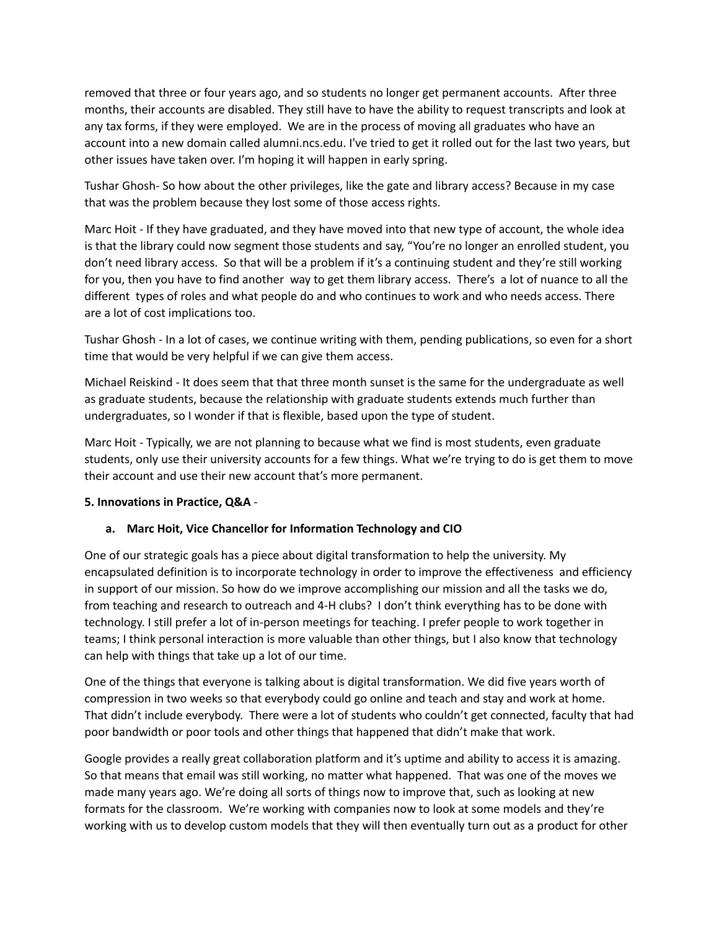removed that three or four years ago, and so students no longer get permanent accounts. After three months, their accounts are disabled. They still have to have the ability to request transcripts and look at any tax forms, if they were employed. We are in the process of moving all graduates who have an account into a new domain called alumni.ncs.edu. I've tried to get it rolled out for the last two years, but other issues have taken over. I'm hoping it will happen in early spring.

Tushar Ghosh- So how about the other privileges, like the gate and library access? Because in my case that was the problem because they lost some of those access rights.

Marc Hoit - If they have graduated, and they have moved into that new type of account, the whole idea is that the library could now segment those students and say, "You're no longer an enrolled student, you don't need library access. So that will be a problem if it's a continuing student and they're still working for you, then you have to find another way to get them library access. There's a lot of nuance to all the different types of roles and what people do and who continues to work and who needs access. There are a lot of cost implications too.

Tushar Ghosh - In a lot of cases, we continue writing with them, pending publications, so even for a short time that would be very helpful if we can give them access.

Michael Reiskind - It does seem that that three month sunset is the same for the undergraduate as well as graduate students, because the relationship with graduate students extends much further than undergraduates, so I wonder if that is flexible, based upon the type of student.

Marc Hoit - Typically, we are not planning to because what we find is most students, even graduate students, only use their university accounts for a few things. What we're trying to do is get them to move their account and use their new account that's more permanent.

## **5. Innovations in Practice, Q&A** -

## **a. Marc Hoit, Vice Chancellor for Information Technology and CIO**

One of our strategic goals has a piece about digital transformation to help the university. My encapsulated definition is to incorporate technology in order to improve the effectiveness and efficiency in support of our mission. So how do we improve accomplishing our mission and all the tasks we do, from teaching and research to outreach and 4-H clubs? I don't think everything has to be done with technology. I still prefer a lot of in-person meetings for teaching. I prefer people to work together in teams; I think personal interaction is more valuable than other things, but I also know that technology can help with things that take up a lot of our time.

One of the things that everyone is talking about is digital transformation. We did five years worth of compression in two weeks so that everybody could go online and teach and stay and work at home. That didn't include everybody. There were a lot of students who couldn't get connected, faculty that had poor bandwidth or poor tools and other things that happened that didn't make that work.

Google provides a really great collaboration platform and it's uptime and ability to access it is amazing. So that means that email was still working, no matter what happened. That was one of the moves we made many years ago. We're doing all sorts of things now to improve that, such as looking at new formats for the classroom. We're working with companies now to look at some models and they're working with us to develop custom models that they will then eventually turn out as a product for other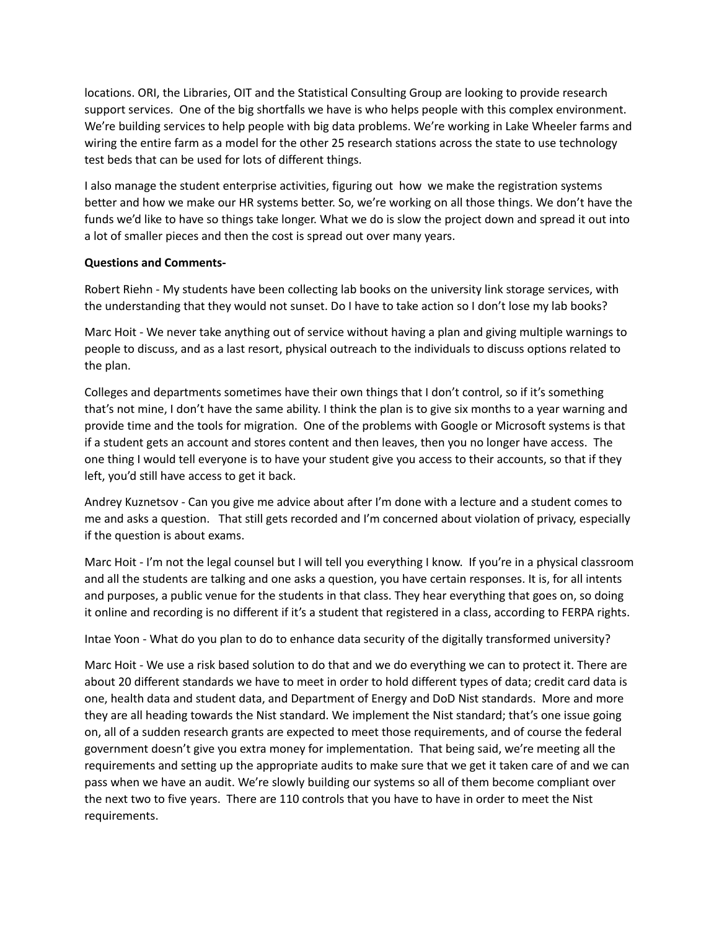locations. ORI, the Libraries, OIT and the Statistical Consulting Group are looking to provide research support services. One of the big shortfalls we have is who helps people with this complex environment. We're building services to help people with big data problems. We're working in Lake Wheeler farms and wiring the entire farm as a model for the other 25 research stations across the state to use technology test beds that can be used for lots of different things.

I also manage the student enterprise activities, figuring out how we make the registration systems better and how we make our HR systems better. So, we're working on all those things. We don't have the funds we'd like to have so things take longer. What we do is slow the project down and spread it out into a lot of smaller pieces and then the cost is spread out over many years.

## **Questions and Comments-**

Robert Riehn - My students have been collecting lab books on the university link storage services, with the understanding that they would not sunset. Do I have to take action so I don't lose my lab books?

Marc Hoit - We never take anything out of service without having a plan and giving multiple warnings to people to discuss, and as a last resort, physical outreach to the individuals to discuss options related to the plan.

Colleges and departments sometimes have their own things that I don't control, so if it's something that's not mine, I don't have the same ability. I think the plan is to give six months to a year warning and provide time and the tools for migration. One of the problems with Google or Microsoft systems is that if a student gets an account and stores content and then leaves, then you no longer have access. The one thing I would tell everyone is to have your student give you access to their accounts, so that if they left, you'd still have access to get it back.

Andrey Kuznetsov - Can you give me advice about after I'm done with a lecture and a student comes to me and asks a question. That still gets recorded and I'm concerned about violation of privacy, especially if the question is about exams.

Marc Hoit - I'm not the legal counsel but I will tell you everything I know. If you're in a physical classroom and all the students are talking and one asks a question, you have certain responses. It is, for all intents and purposes, a public venue for the students in that class. They hear everything that goes on, so doing it online and recording is no different if it's a student that registered in a class, according to FERPA rights.

Intae Yoon - What do you plan to do to enhance data security of the digitally transformed university?

Marc Hoit - We use a risk based solution to do that and we do everything we can to protect it. There are about 20 different standards we have to meet in order to hold different types of data; credit card data is one, health data and student data, and Department of Energy and DoD Nist standards. More and more they are all heading towards the Nist standard. We implement the Nist standard; that's one issue going on, all of a sudden research grants are expected to meet those requirements, and of course the federal government doesn't give you extra money for implementation. That being said, we're meeting all the requirements and setting up the appropriate audits to make sure that we get it taken care of and we can pass when we have an audit. We're slowly building our systems so all of them become compliant over the next two to five years. There are 110 controls that you have to have in order to meet the Nist requirements.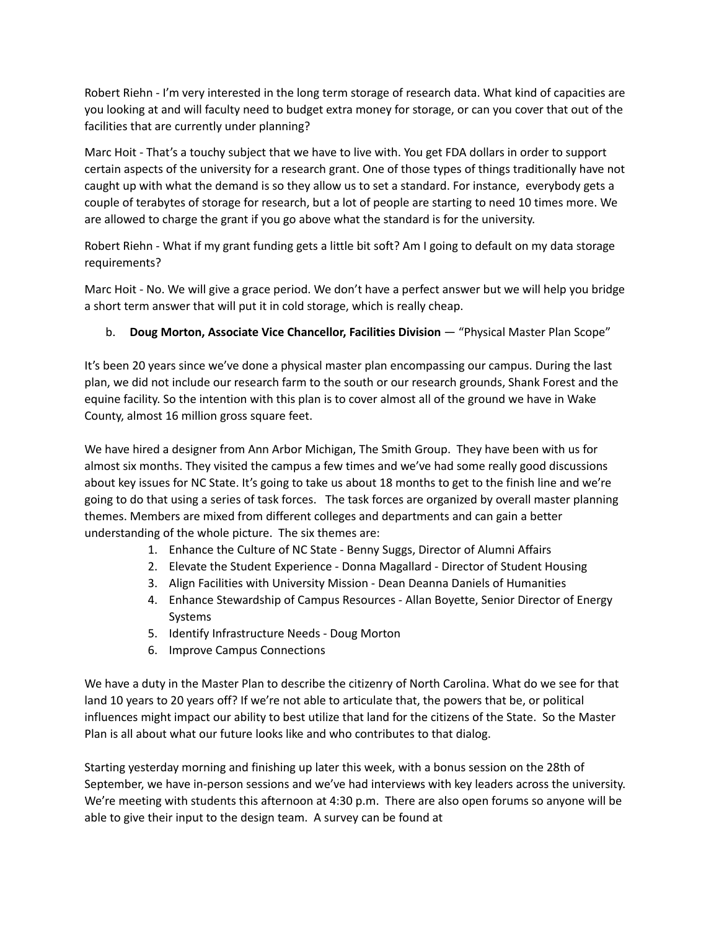Robert Riehn - I'm very interested in the long term storage of research data. What kind of capacities are you looking at and will faculty need to budget extra money for storage, or can you cover that out of the facilities that are currently under planning?

Marc Hoit - That's a touchy subject that we have to live with. You get FDA dollars in order to support certain aspects of the university for a research grant. One of those types of things traditionally have not caught up with what the demand is so they allow us to set a standard. For instance, everybody gets a couple of terabytes of storage for research, but a lot of people are starting to need 10 times more. We are allowed to charge the grant if you go above what the standard is for the university.

Robert Riehn - What if my grant funding gets a little bit soft? Am I going to default on my data storage requirements?

Marc Hoit - No. We will give a grace period. We don't have a perfect answer but we will help you bridge a short term answer that will put it in cold storage, which is really cheap.

## b. **Doug Morton, Associate Vice Chancellor, Facilities Division** — "Physical Master Plan Scope"

It's been 20 years since we've done a physical master plan encompassing our campus. During the last plan, we did not include our research farm to the south or our research grounds, Shank Forest and the equine facility. So the intention with this plan is to cover almost all of the ground we have in Wake County, almost 16 million gross square feet.

We have hired a designer from Ann Arbor Michigan, The Smith Group. They have been with us for almost six months. They visited the campus a few times and we've had some really good discussions about key issues for NC State. It's going to take us about 18 months to get to the finish line and we're going to do that using a series of task forces. The task forces are organized by overall master planning themes. Members are mixed from different colleges and departments and can gain a better understanding of the whole picture. The six themes are:

- 1. Enhance the Culture of NC State Benny Suggs, Director of Alumni Affairs
- 2. Elevate the Student Experience Donna Magallard Director of Student Housing
- 3. Align Facilities with University Mission Dean Deanna Daniels of Humanities
- 4. Enhance Stewardship of Campus Resources Allan Boyette, Senior Director of Energy Systems
- 5. Identify Infrastructure Needs Doug Morton
- 6. Improve Campus Connections

We have a duty in the Master Plan to describe the citizenry of North Carolina. What do we see for that land 10 years to 20 years off? If we're not able to articulate that, the powers that be, or political influences might impact our ability to best utilize that land for the citizens of the State. So the Master Plan is all about what our future looks like and who contributes to that dialog.

Starting yesterday morning and finishing up later this week, with a bonus session on the 28th of September, we have in-person sessions and we've had interviews with key leaders across the university. We're meeting with students this afternoon at 4:30 p.m. There are also open forums so anyone will be able to give their input to the design team. A survey can be found at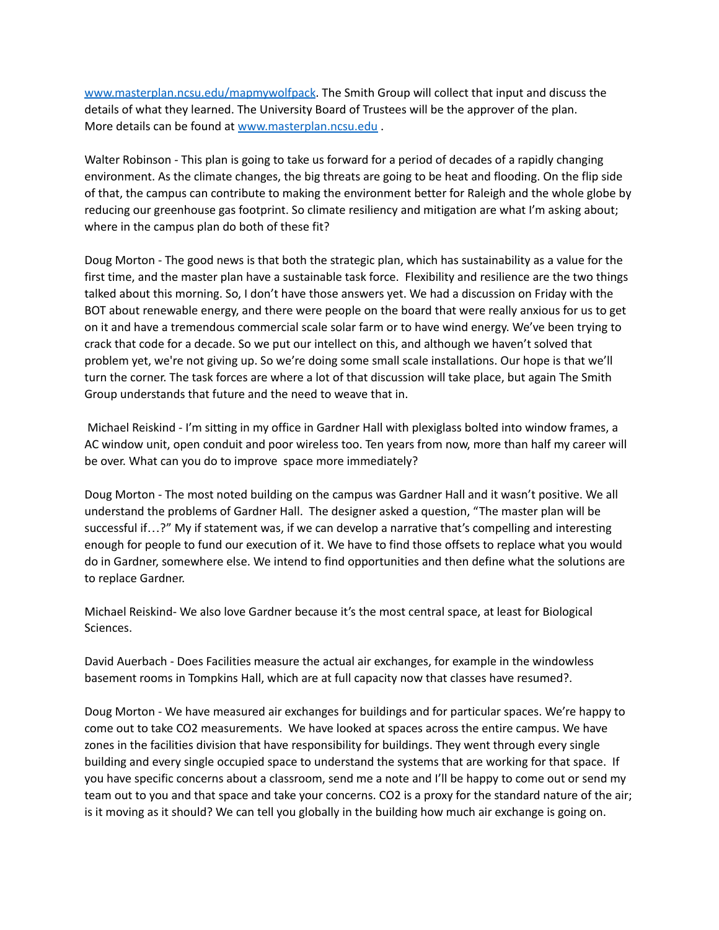[www.masterplan.ncsu.edu/mapmywolfpack.](http://www.masterplan.ncsu.edu/mapmywolfpack) The Smith Group will collect that input and discuss the details of what they learned. The University Board of Trustees will be the approver of the plan. More details can be found at [www.masterplan.ncsu.edu](http://www.masterplan.ncsu.edu) .

Walter Robinson - This plan is going to take us forward for a period of decades of a rapidly changing environment. As the climate changes, the big threats are going to be heat and flooding. On the flip side of that, the campus can contribute to making the environment better for Raleigh and the whole globe by reducing our greenhouse gas footprint. So climate resiliency and mitigation are what I'm asking about; where in the campus plan do both of these fit?

Doug Morton - The good news is that both the strategic plan, which has sustainability as a value for the first time, and the master plan have a sustainable task force. Flexibility and resilience are the two things talked about this morning. So, I don't have those answers yet. We had a discussion on Friday with the BOT about renewable energy, and there were people on the board that were really anxious for us to get on it and have a tremendous commercial scale solar farm or to have wind energy. We've been trying to crack that code for a decade. So we put our intellect on this, and although we haven't solved that problem yet, we're not giving up. So we're doing some small scale installations. Our hope is that we'll turn the corner. The task forces are where a lot of that discussion will take place, but again The Smith Group understands that future and the need to weave that in.

Michael Reiskind - I'm sitting in my office in Gardner Hall with plexiglass bolted into window frames, a AC window unit, open conduit and poor wireless too. Ten years from now, more than half my career will be over. What can you do to improve space more immediately?

Doug Morton - The most noted building on the campus was Gardner Hall and it wasn't positive. We all understand the problems of Gardner Hall. The designer asked a question, "The master plan will be successful if…?" My if statement was, if we can develop a narrative that's compelling and interesting enough for people to fund our execution of it. We have to find those offsets to replace what you would do in Gardner, somewhere else. We intend to find opportunities and then define what the solutions are to replace Gardner.

Michael Reiskind- We also love Gardner because it's the most central space, at least for Biological Sciences.

David Auerbach - Does Facilities measure the actual air exchanges, for example in the windowless basement rooms in Tompkins Hall, which are at full capacity now that classes have resumed?.

Doug Morton - We have measured air exchanges for buildings and for particular spaces. We're happy to come out to take CO2 measurements. We have looked at spaces across the entire campus. We have zones in the facilities division that have responsibility for buildings. They went through every single building and every single occupied space to understand the systems that are working for that space. If you have specific concerns about a classroom, send me a note and I'll be happy to come out or send my team out to you and that space and take your concerns. CO2 is a proxy for the standard nature of the air; is it moving as it should? We can tell you globally in the building how much air exchange is going on.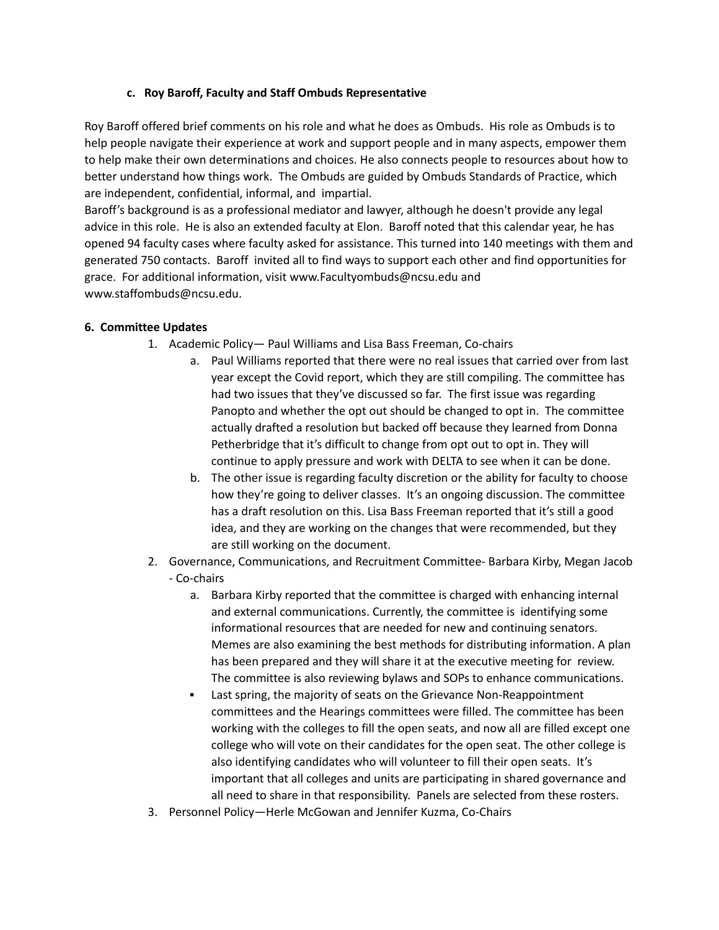## **c. Roy Baroff, Faculty and Staff Ombuds Representative**

Roy Baroff offered brief comments on his role and what he does as Ombuds. His role as Ombuds is to help people navigate their experience at work and support people and in many aspects, empower them to help make their own determinations and choices. He also connects people to resources about how to better understand how things work. The Ombuds are guided by Ombuds Standards of Practice, which are independent, confidential, informal, and impartial.

Baroff's background is as a professional mediator and lawyer, although he doesn't provide any legal advice in this role. He is also an extended faculty at Elon. Baroff noted that this calendar year, he has opened 94 faculty cases where faculty asked for assistance. This turned into 140 meetings with them and generated 750 contacts. Baroff invited all to find ways to support each other and find opportunities for grace. For additional information, visit [www.Facultyombuds@ncsu.edu](http://www.facultyombuds.ncsu.edu) and [www.staffombuds@ncsu.edu](http://www.staffombuds.ncs.ed).

## **6. Committee Updates**

- 1. Academic Policy— Paul Williams and Lisa Bass Freeman, Co-chairs
	- a. Paul Williams reported that there were no real issues that carried over from last year except the Covid report, which they are still compiling. The committee has had two issues that they've discussed so far. The first issue was regarding Panopto and whether the opt out should be changed to opt in. The committee actually drafted a resolution but backed off because they learned from Donna Petherbridge that it's difficult to change from opt out to opt in. They will continue to apply pressure and work with DELTA to see when it can be done.
	- b. The other issue is regarding faculty discretion or the ability for faculty to choose how they're going to deliver classes. It's an ongoing discussion. The committee has a draft resolution on this. Lisa Bass Freeman reported that it's still a good idea, and they are working on the changes that were recommended, but they are still working on the document.
- 2. Governance, Communications, and Recruitment Committee- Barbara Kirby, Megan Jacob - Co-chairs
	- a. Barbara Kirby reported that the committee is charged with enhancing internal and external communications. Currently, the committee is identifying some informational resources that are needed for new and continuing senators. Memes are also examining the best methods for distributing information. A plan has been prepared and they will share it at the executive meeting for review. The committee is also reviewing bylaws and SOPs to enhance communications.
	- Last spring, the majority of seats on the Grievance Non-Reappointment committees and the Hearings committees were filled. The committee has been working with the colleges to fill the open seats, and now all are filled except one college who will vote on their candidates for the open seat. The other college is also identifying candidates who will volunteer to fill their open seats. It's important that all colleges and units are participating in shared governance and all need to share in that responsibility. Panels are selected from these rosters.
- 3. Personnel Policy—Herle McGowan and Jennifer Kuzma, Co-Chairs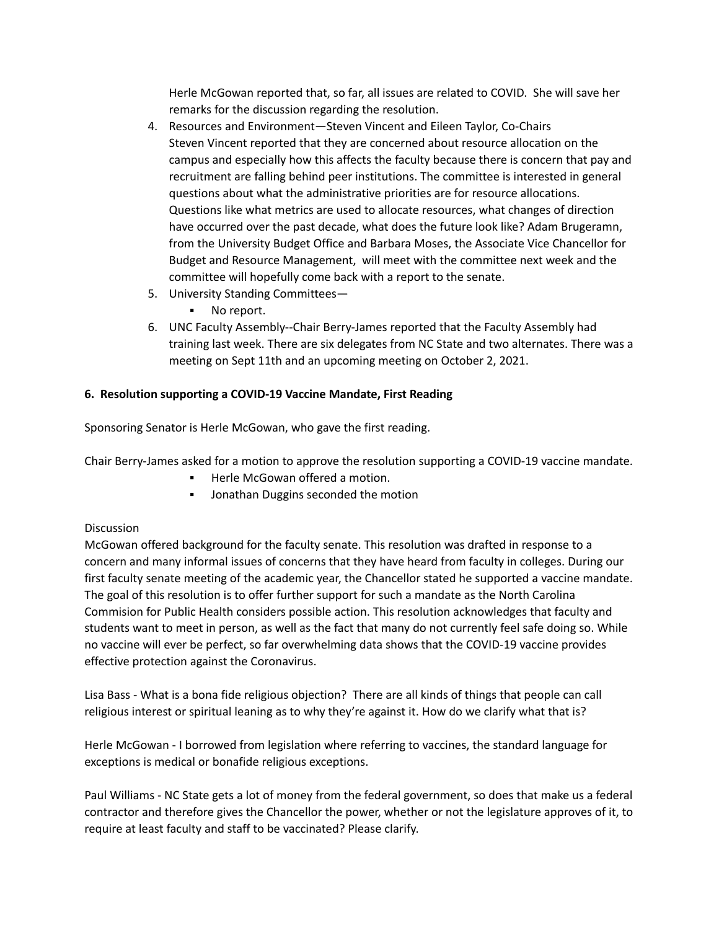Herle McGowan reported that, so far, all issues are related to COVID. She will save her remarks for the discussion regarding the resolution.

- 4. Resources and Environment—Steven Vincent and Eileen Taylor, Co-Chairs Steven Vincent reported that they are concerned about resource allocation on the campus and especially how this affects the faculty because there is concern that pay and recruitment are falling behind peer institutions. The committee is interested in general questions about what the administrative priorities are for resource allocations. Questions like what metrics are used to allocate resources, what changes of direction have occurred over the past decade, what does the future look like? Adam Brugeramn, from the University Budget Office and Barbara Moses, the Associate Vice Chancellor for Budget and Resource Management, will meet with the committee next week and the committee will hopefully come back with a report to the senate.
- 5. University Standing Committees—
	- No report.
- 6. UNC Faculty Assembly--Chair Berry-James reported that the Faculty Assembly had training last week. There are six delegates from NC State and two alternates. There was a meeting on Sept 11th and an upcoming meeting on October 2, 2021.

## **6. Resolution supporting a COVID-19 Vaccine Mandate, First Reading**

Sponsoring Senator is Herle McGowan, who gave the first reading.

Chair Berry-James asked for a motion to approve the resolution supporting a COVID-19 vaccine mandate.

- Herle McGowan offered a motion.
- Jonathan Duggins seconded the motion

## **Discussion**

McGowan offered background for the faculty senate. This resolution was drafted in response to a concern and many informal issues of concerns that they have heard from faculty in colleges. During our first faculty senate meeting of the academic year, the Chancellor stated he supported a vaccine mandate. The goal of this resolution is to offer further support for such a mandate as the North Carolina Commision for Public Health considers possible action. This resolution acknowledges that faculty and students want to meet in person, as well as the fact that many do not currently feel safe doing so. While no vaccine will ever be perfect, so far overwhelming data shows that the COVID-19 vaccine provides effective protection against the Coronavirus.

Lisa Bass - What is a bona fide religious objection? There are all kinds of things that people can call religious interest or spiritual leaning as to why they're against it. How do we clarify what that is?

Herle McGowan - I borrowed from legislation where referring to vaccines, the standard language for exceptions is medical or bonafide religious exceptions.

Paul Williams - NC State gets a lot of money from the federal government, so does that make us a federal contractor and therefore gives the Chancellor the power, whether or not the legislature approves of it, to require at least faculty and staff to be vaccinated? Please clarify.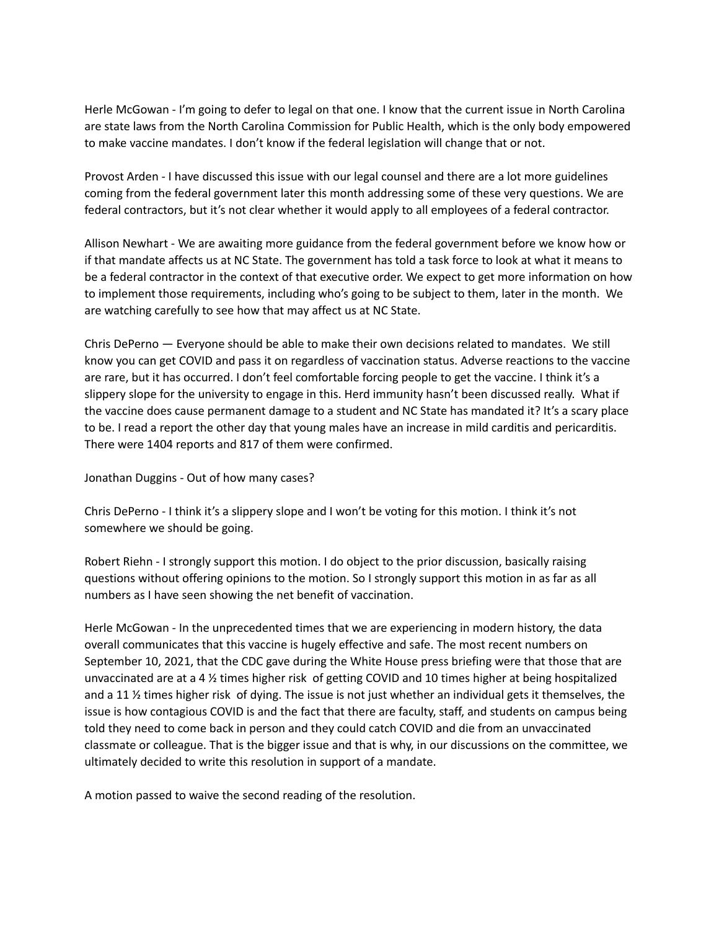Herle McGowan - I'm going to defer to legal on that one. I know that the current issue in North Carolina are state laws from the North Carolina Commission for Public Health, which is the only body empowered to make vaccine mandates. I don't know if the federal legislation will change that or not.

Provost Arden - I have discussed this issue with our legal counsel and there are a lot more guidelines coming from the federal government later this month addressing some of these very questions. We are federal contractors, but it's not clear whether it would apply to all employees of a federal contractor.

Allison Newhart - We are awaiting more guidance from the federal government before we know how or if that mandate affects us at NC State. The government has told a task force to look at what it means to be a federal contractor in the context of that executive order. We expect to get more information on how to implement those requirements, including who's going to be subject to them, later in the month. We are watching carefully to see how that may affect us at NC State.

Chris DePerno — Everyone should be able to make their own decisions related to mandates. We still know you can get COVID and pass it on regardless of vaccination status. Adverse reactions to the vaccine are rare, but it has occurred. I don't feel comfortable forcing people to get the vaccine. I think it's a slippery slope for the university to engage in this. Herd immunity hasn't been discussed really. What if the vaccine does cause permanent damage to a student and NC State has mandated it? It's a scary place to be. I read a report the other day that young males have an increase in mild carditis and pericarditis. There were 1404 reports and 817 of them were confirmed.

Jonathan Duggins - Out of how many cases?

Chris DePerno - I think it's a slippery slope and I won't be voting for this motion. I think it's not somewhere we should be going.

Robert Riehn - I strongly support this motion. I do object to the prior discussion, basically raising questions without offering opinions to the motion. So I strongly support this motion in as far as all numbers as I have seen showing the net benefit of vaccination.

Herle McGowan - In the unprecedented times that we are experiencing in modern history, the data overall communicates that this vaccine is hugely effective and safe. The most recent numbers on September 10, 2021, that the CDC gave during the White House press briefing were that those that are unvaccinated are at a 4 ½ times higher risk of getting COVID and 10 times higher at being hospitalized and a 11 ½ times higher risk of dying. The issue is not just whether an individual gets it themselves, the issue is how contagious COVID is and the fact that there are faculty, staff, and students on campus being told they need to come back in person and they could catch COVID and die from an unvaccinated classmate or colleague. That is the bigger issue and that is why, in our discussions on the committee, we ultimately decided to write this resolution in support of a mandate.

A motion passed to waive the second reading of the resolution.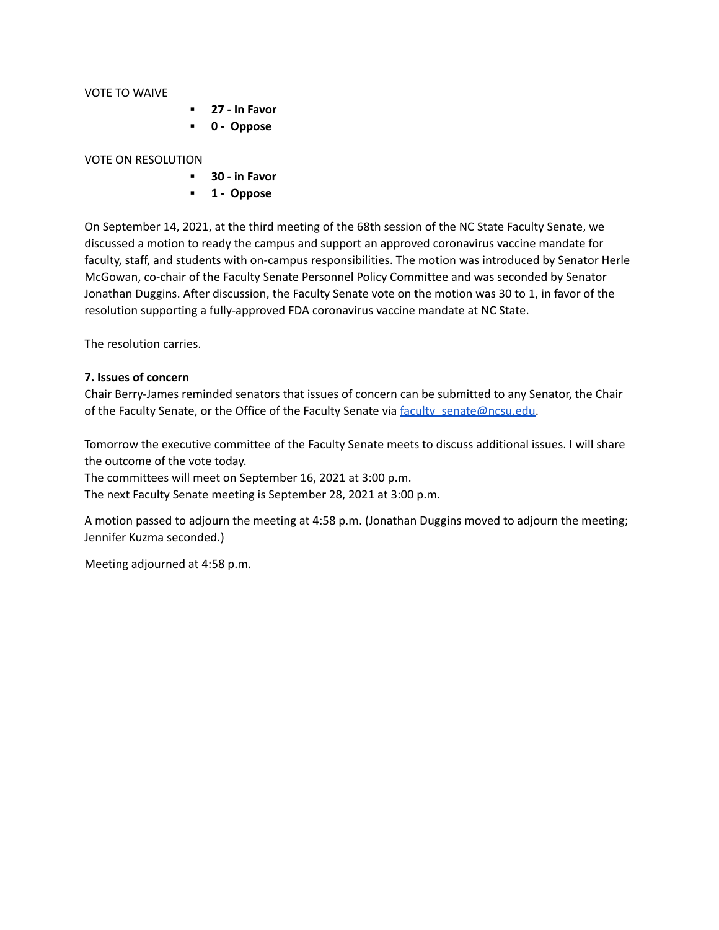VOTE TO WAIVE

- **▪ 27 - In Favor**
- **▪ 0 - Oppose**

#### VOTE ON RESOLUTION

- **▪ 30 - in Favor**
- **▪ 1 - Oppose**

On September 14, 2021, at the third meeting of the 68th session of the NC State Faculty Senate, we discussed a motion to ready the campus and support an approved coronavirus vaccine mandate for faculty, staff, and students with on-campus responsibilities. The motion was introduced by Senator Herle McGowan, co-chair of the Faculty Senate Personnel Policy Committee and was seconded by Senator Jonathan Duggins. After discussion, the Faculty Senate vote on the motion was 30 to 1, in favor of the resolution supporting a fully-approved FDA coronavirus vaccine mandate at NC State.

The resolution carries.

#### **7. Issues of concern**

Chair Berry-James reminded senators that issues of concern can be submitted to any Senator, the Chair of the Faculty Senate, or the Office of the Faculty Senate via faculty senate@ncsu.edu.

Tomorrow the executive committee of the Faculty Senate meets to discuss additional issues. I will share the outcome of the vote today.

The committees will meet on September 16, 2021 at 3:00 p.m.

The next Faculty Senate meeting is September 28, 2021 at 3:00 p.m.

A motion passed to adjourn the meeting at 4:58 p.m. (Jonathan Duggins moved to adjourn the meeting; Jennifer Kuzma seconded.)

Meeting adjourned at 4:58 p.m.